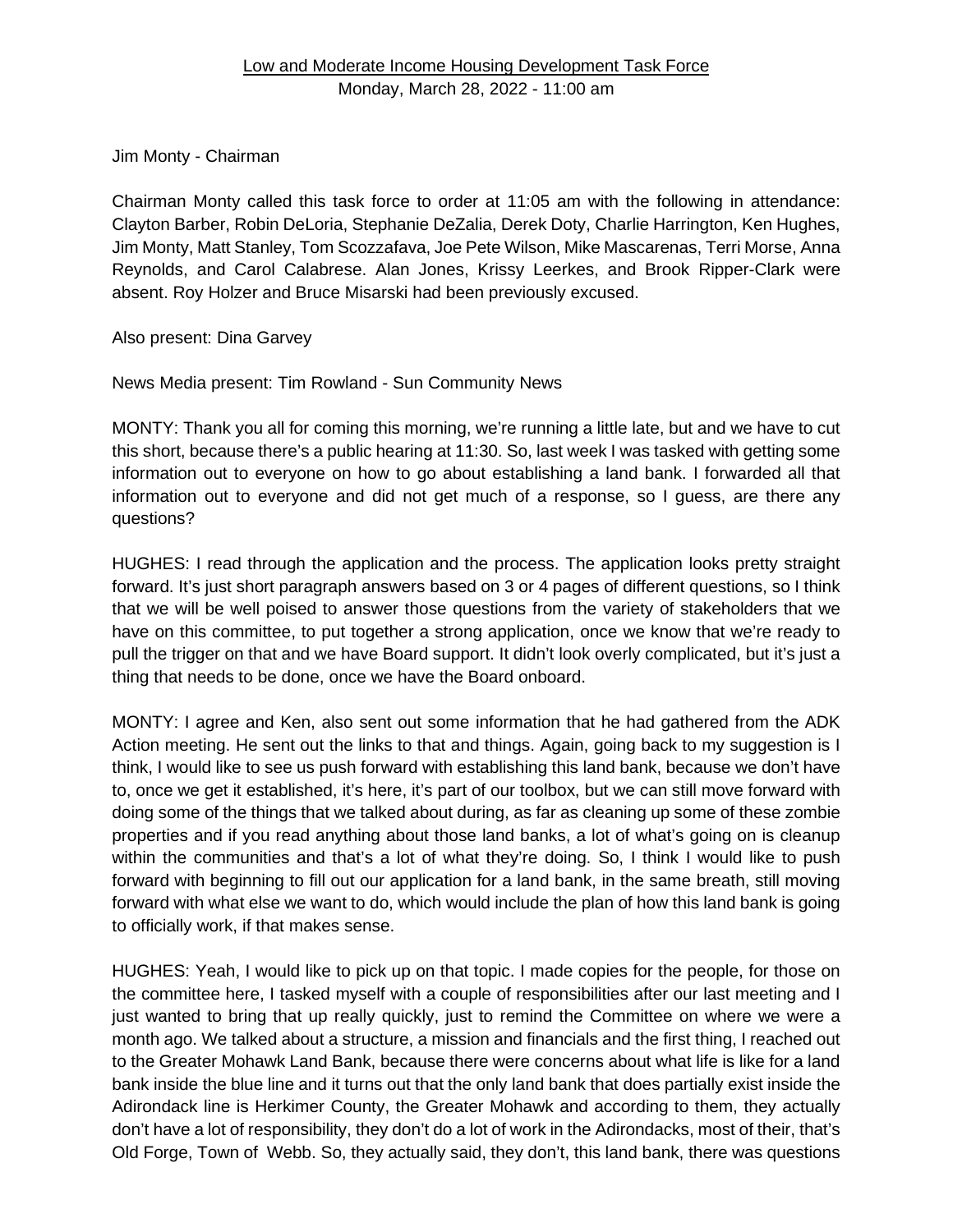## Jim Monty - Chairman

Chairman Monty called this task force to order at 11:05 am with the following in attendance: Clayton Barber, Robin DeLoria, Stephanie DeZalia, Derek Doty, Charlie Harrington, Ken Hughes, Jim Monty, Matt Stanley, Tom Scozzafava, Joe Pete Wilson, Mike Mascarenas, Terri Morse, Anna Reynolds, and Carol Calabrese. Alan Jones, Krissy Leerkes, and Brook Ripper-Clark were absent. Roy Holzer and Bruce Misarski had been previously excused.

## Also present: Dina Garvey

News Media present: Tim Rowland - Sun Community News

MONTY: Thank you all for coming this morning, we're running a little late, but and we have to cut this short, because there's a public hearing at 11:30. So, last week I was tasked with getting some information out to everyone on how to go about establishing a land bank. I forwarded all that information out to everyone and did not get much of a response, so I guess, are there any questions?

HUGHES: I read through the application and the process. The application looks pretty straight forward. It's just short paragraph answers based on 3 or 4 pages of different questions, so I think that we will be well poised to answer those questions from the variety of stakeholders that we have on this committee, to put together a strong application, once we know that we're ready to pull the trigger on that and we have Board support. It didn't look overly complicated, but it's just a thing that needs to be done, once we have the Board onboard.

MONTY: I agree and Ken, also sent out some information that he had gathered from the ADK Action meeting. He sent out the links to that and things. Again, going back to my suggestion is I think, I would like to see us push forward with establishing this land bank, because we don't have to, once we get it established, it's here, it's part of our toolbox, but we can still move forward with doing some of the things that we talked about during, as far as cleaning up some of these zombie properties and if you read anything about those land banks, a lot of what's going on is cleanup within the communities and that's a lot of what they're doing. So, I think I would like to push forward with beginning to fill out our application for a land bank, in the same breath, still moving forward with what else we want to do, which would include the plan of how this land bank is going to officially work, if that makes sense.

HUGHES: Yeah, I would like to pick up on that topic. I made copies for the people, for those on the committee here, I tasked myself with a couple of responsibilities after our last meeting and I just wanted to bring that up really quickly, just to remind the Committee on where we were a month ago. We talked about a structure, a mission and financials and the first thing, I reached out to the Greater Mohawk Land Bank, because there were concerns about what life is like for a land bank inside the blue line and it turns out that the only land bank that does partially exist inside the Adirondack line is Herkimer County, the Greater Mohawk and according to them, they actually don't have a lot of responsibility, they don't do a lot of work in the Adirondacks, most of their, that's Old Forge, Town of Webb. So, they actually said, they don't, this land bank, there was questions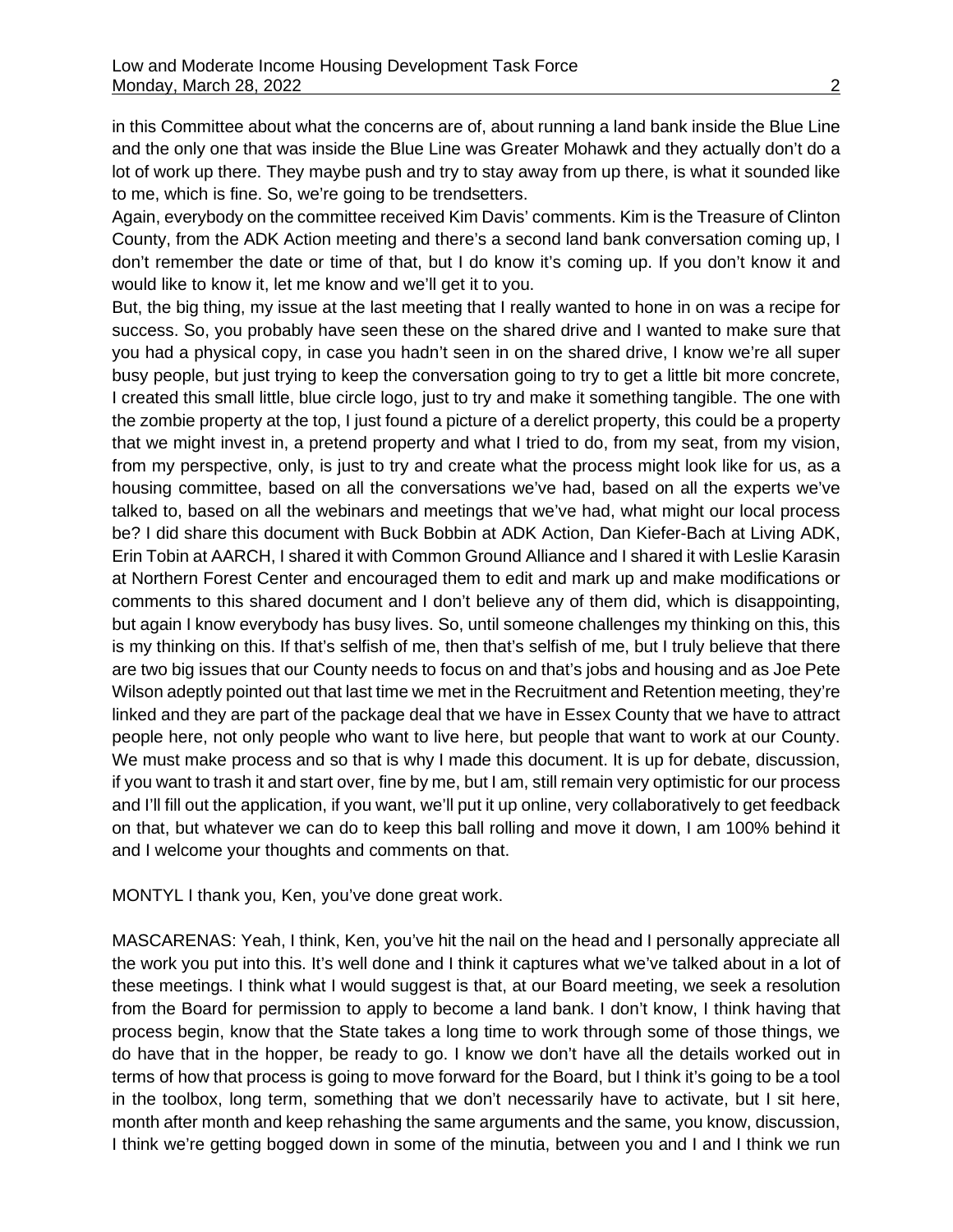in this Committee about what the concerns are of, about running a land bank inside the Blue Line and the only one that was inside the Blue Line was Greater Mohawk and they actually don't do a lot of work up there. They maybe push and try to stay away from up there, is what it sounded like to me, which is fine. So, we're going to be trendsetters.

Again, everybody on the committee received Kim Davis' comments. Kim is the Treasure of Clinton County, from the ADK Action meeting and there's a second land bank conversation coming up, I don't remember the date or time of that, but I do know it's coming up. If you don't know it and would like to know it, let me know and we'll get it to you.

But, the big thing, my issue at the last meeting that I really wanted to hone in on was a recipe for success. So, you probably have seen these on the shared drive and I wanted to make sure that you had a physical copy, in case you hadn't seen in on the shared drive, I know we're all super busy people, but just trying to keep the conversation going to try to get a little bit more concrete, I created this small little, blue circle logo, just to try and make it something tangible. The one with the zombie property at the top, I just found a picture of a derelict property, this could be a property that we might invest in, a pretend property and what I tried to do, from my seat, from my vision, from my perspective, only, is just to try and create what the process might look like for us, as a housing committee, based on all the conversations we've had, based on all the experts we've talked to, based on all the webinars and meetings that we've had, what might our local process be? I did share this document with Buck Bobbin at ADK Action, Dan Kiefer-Bach at Living ADK, Erin Tobin at AARCH, I shared it with Common Ground Alliance and I shared it with Leslie Karasin at Northern Forest Center and encouraged them to edit and mark up and make modifications or comments to this shared document and I don't believe any of them did, which is disappointing, but again I know everybody has busy lives. So, until someone challenges my thinking on this, this is my thinking on this. If that's selfish of me, then that's selfish of me, but I truly believe that there are two big issues that our County needs to focus on and that's jobs and housing and as Joe Pete Wilson adeptly pointed out that last time we met in the Recruitment and Retention meeting, they're linked and they are part of the package deal that we have in Essex County that we have to attract people here, not only people who want to live here, but people that want to work at our County. We must make process and so that is why I made this document. It is up for debate, discussion, if you want to trash it and start over, fine by me, but I am, still remain very optimistic for our process and I'll fill out the application, if you want, we'll put it up online, very collaboratively to get feedback on that, but whatever we can do to keep this ball rolling and move it down, I am 100% behind it and I welcome your thoughts and comments on that.

MONTYL I thank you, Ken, you've done great work.

MASCARENAS: Yeah, I think, Ken, you've hit the nail on the head and I personally appreciate all the work you put into this. It's well done and I think it captures what we've talked about in a lot of these meetings. I think what I would suggest is that, at our Board meeting, we seek a resolution from the Board for permission to apply to become a land bank. I don't know, I think having that process begin, know that the State takes a long time to work through some of those things, we do have that in the hopper, be ready to go. I know we don't have all the details worked out in terms of how that process is going to move forward for the Board, but I think it's going to be a tool in the toolbox, long term, something that we don't necessarily have to activate, but I sit here, month after month and keep rehashing the same arguments and the same, you know, discussion, I think we're getting bogged down in some of the minutia, between you and I and I think we run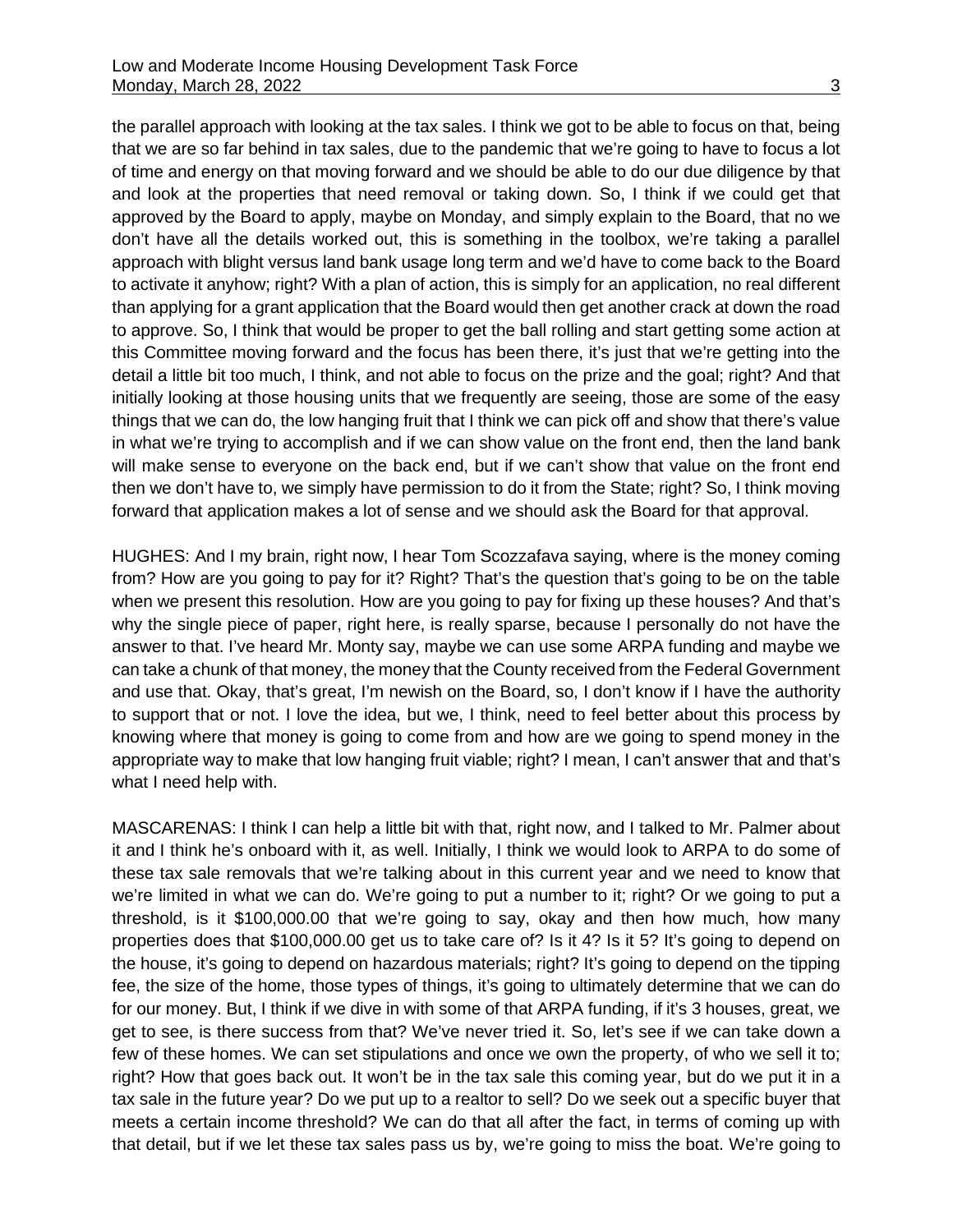the parallel approach with looking at the tax sales. I think we got to be able to focus on that, being that we are so far behind in tax sales, due to the pandemic that we're going to have to focus a lot of time and energy on that moving forward and we should be able to do our due diligence by that and look at the properties that need removal or taking down. So, I think if we could get that approved by the Board to apply, maybe on Monday, and simply explain to the Board, that no we don't have all the details worked out, this is something in the toolbox, we're taking a parallel approach with blight versus land bank usage long term and we'd have to come back to the Board to activate it anyhow; right? With a plan of action, this is simply for an application, no real different than applying for a grant application that the Board would then get another crack at down the road to approve. So, I think that would be proper to get the ball rolling and start getting some action at this Committee moving forward and the focus has been there, it's just that we're getting into the detail a little bit too much, I think, and not able to focus on the prize and the goal; right? And that initially looking at those housing units that we frequently are seeing, those are some of the easy things that we can do, the low hanging fruit that I think we can pick off and show that there's value in what we're trying to accomplish and if we can show value on the front end, then the land bank will make sense to everyone on the back end, but if we can't show that value on the front end then we don't have to, we simply have permission to do it from the State; right? So, I think moving forward that application makes a lot of sense and we should ask the Board for that approval.

HUGHES: And I my brain, right now, I hear Tom Scozzafava saying, where is the money coming from? How are you going to pay for it? Right? That's the question that's going to be on the table when we present this resolution. How are you going to pay for fixing up these houses? And that's why the single piece of paper, right here, is really sparse, because I personally do not have the answer to that. I've heard Mr. Monty say, maybe we can use some ARPA funding and maybe we can take a chunk of that money, the money that the County received from the Federal Government and use that. Okay, that's great, I'm newish on the Board, so, I don't know if I have the authority to support that or not. I love the idea, but we, I think, need to feel better about this process by knowing where that money is going to come from and how are we going to spend money in the appropriate way to make that low hanging fruit viable; right? I mean, I can't answer that and that's what I need help with.

MASCARENAS: I think I can help a little bit with that, right now, and I talked to Mr. Palmer about it and I think he's onboard with it, as well. Initially, I think we would look to ARPA to do some of these tax sale removals that we're talking about in this current year and we need to know that we're limited in what we can do. We're going to put a number to it; right? Or we going to put a threshold, is it \$100,000.00 that we're going to say, okay and then how much, how many properties does that \$100,000.00 get us to take care of? Is it 4? Is it 5? It's going to depend on the house, it's going to depend on hazardous materials; right? It's going to depend on the tipping fee, the size of the home, those types of things, it's going to ultimately determine that we can do for our money. But, I think if we dive in with some of that ARPA funding, if it's 3 houses, great, we get to see, is there success from that? We've never tried it. So, let's see if we can take down a few of these homes. We can set stipulations and once we own the property, of who we sell it to; right? How that goes back out. It won't be in the tax sale this coming year, but do we put it in a tax sale in the future year? Do we put up to a realtor to sell? Do we seek out a specific buyer that meets a certain income threshold? We can do that all after the fact, in terms of coming up with that detail, but if we let these tax sales pass us by, we're going to miss the boat. We're going to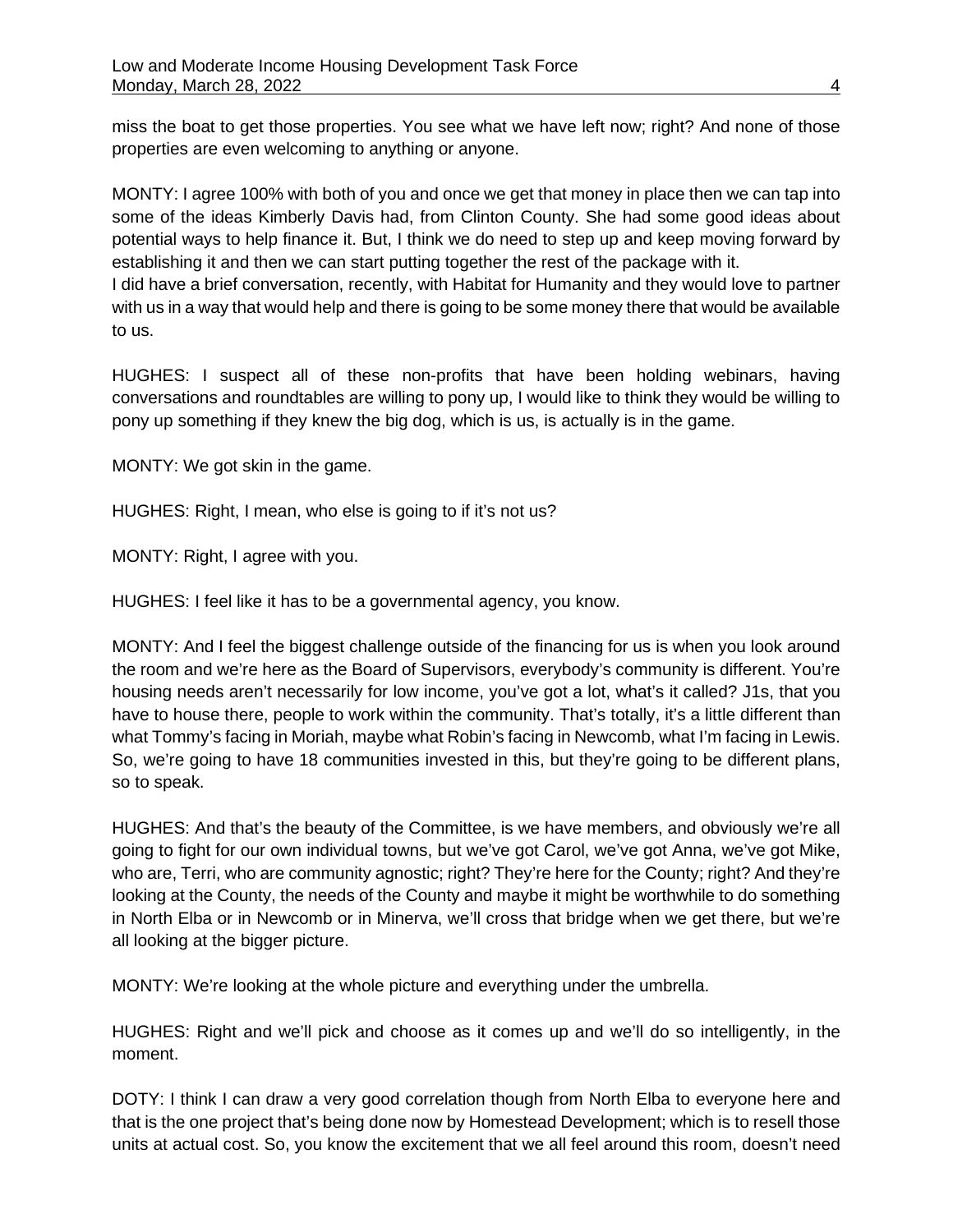miss the boat to get those properties. You see what we have left now; right? And none of those properties are even welcoming to anything or anyone.

MONTY: I agree 100% with both of you and once we get that money in place then we can tap into some of the ideas Kimberly Davis had, from Clinton County. She had some good ideas about potential ways to help finance it. But, I think we do need to step up and keep moving forward by establishing it and then we can start putting together the rest of the package with it. I did have a brief conversation, recently, with Habitat for Humanity and they would love to partner with us in a way that would help and there is going to be some money there that would be available to us.

HUGHES: I suspect all of these non-profits that have been holding webinars, having conversations and roundtables are willing to pony up, I would like to think they would be willing to pony up something if they knew the big dog, which is us, is actually is in the game.

MONTY: We got skin in the game.

HUGHES: Right, I mean, who else is going to if it's not us?

MONTY: Right, I agree with you.

HUGHES: I feel like it has to be a governmental agency, you know.

MONTY: And I feel the biggest challenge outside of the financing for us is when you look around the room and we're here as the Board of Supervisors, everybody's community is different. You're housing needs aren't necessarily for low income, you've got a lot, what's it called? J1s, that you have to house there, people to work within the community. That's totally, it's a little different than what Tommy's facing in Moriah, maybe what Robin's facing in Newcomb, what I'm facing in Lewis. So, we're going to have 18 communities invested in this, but they're going to be different plans, so to speak.

HUGHES: And that's the beauty of the Committee, is we have members, and obviously we're all going to fight for our own individual towns, but we've got Carol, we've got Anna, we've got Mike, who are, Terri, who are community agnostic; right? They're here for the County; right? And they're looking at the County, the needs of the County and maybe it might be worthwhile to do something in North Elba or in Newcomb or in Minerva, we'll cross that bridge when we get there, but we're all looking at the bigger picture.

MONTY: We're looking at the whole picture and everything under the umbrella.

HUGHES: Right and we'll pick and choose as it comes up and we'll do so intelligently, in the moment.

DOTY: I think I can draw a very good correlation though from North Elba to everyone here and that is the one project that's being done now by Homestead Development; which is to resell those units at actual cost. So, you know the excitement that we all feel around this room, doesn't need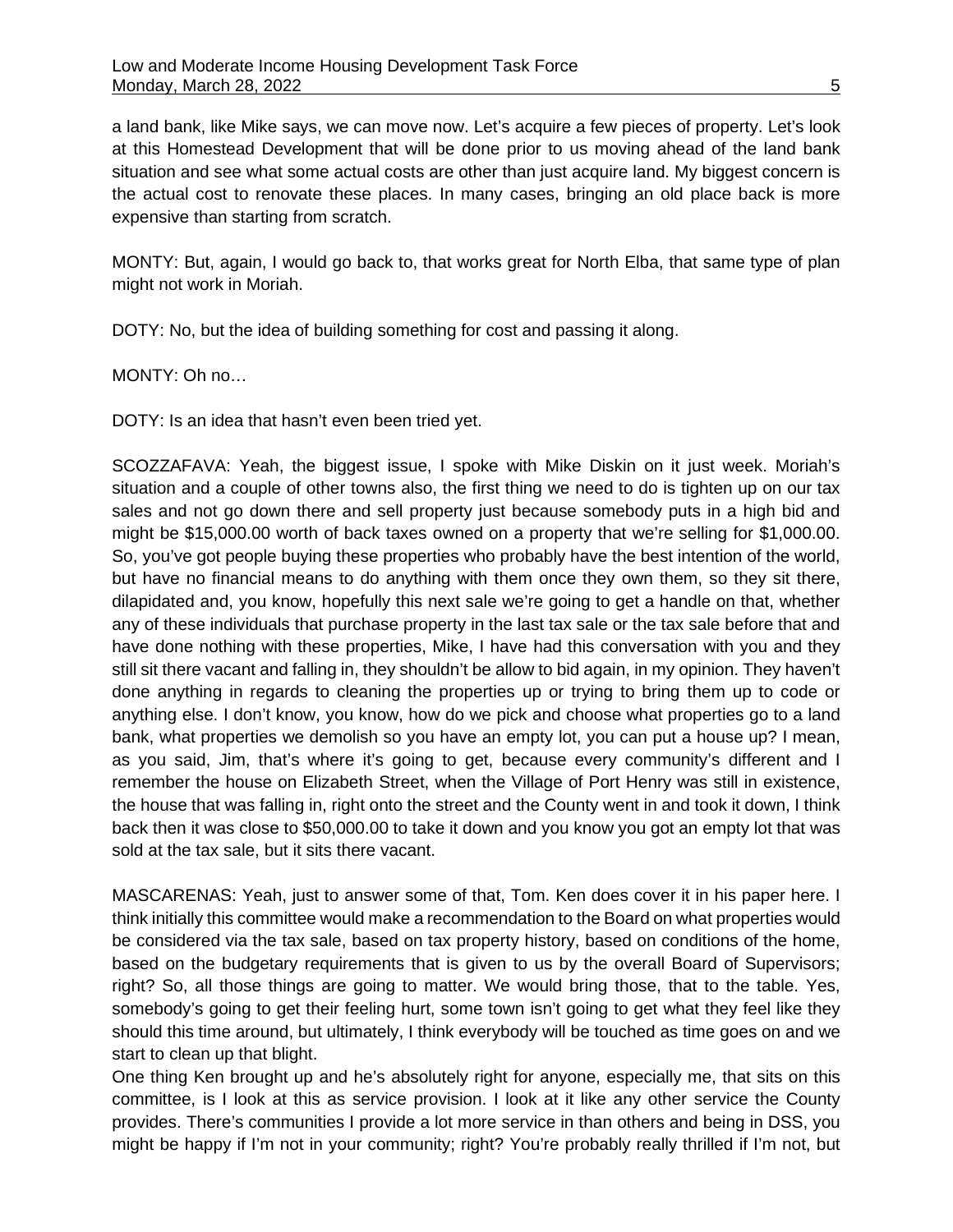a land bank, like Mike says, we can move now. Let's acquire a few pieces of property. Let's look at this Homestead Development that will be done prior to us moving ahead of the land bank situation and see what some actual costs are other than just acquire land. My biggest concern is the actual cost to renovate these places. In many cases, bringing an old place back is more expensive than starting from scratch.

MONTY: But, again, I would go back to, that works great for North Elba, that same type of plan might not work in Moriah.

DOTY: No, but the idea of building something for cost and passing it along.

MONTY: Oh no…

DOTY: Is an idea that hasn't even been tried yet.

SCOZZAFAVA: Yeah, the biggest issue, I spoke with Mike Diskin on it just week. Moriah's situation and a couple of other towns also, the first thing we need to do is tighten up on our tax sales and not go down there and sell property just because somebody puts in a high bid and might be \$15,000.00 worth of back taxes owned on a property that we're selling for \$1,000.00. So, you've got people buying these properties who probably have the best intention of the world, but have no financial means to do anything with them once they own them, so they sit there, dilapidated and, you know, hopefully this next sale we're going to get a handle on that, whether any of these individuals that purchase property in the last tax sale or the tax sale before that and have done nothing with these properties, Mike, I have had this conversation with you and they still sit there vacant and falling in, they shouldn't be allow to bid again, in my opinion. They haven't done anything in regards to cleaning the properties up or trying to bring them up to code or anything else. I don't know, you know, how do we pick and choose what properties go to a land bank, what properties we demolish so you have an empty lot, you can put a house up? I mean, as you said, Jim, that's where it's going to get, because every community's different and I remember the house on Elizabeth Street, when the Village of Port Henry was still in existence, the house that was falling in, right onto the street and the County went in and took it down, I think back then it was close to \$50,000.00 to take it down and you know you got an empty lot that was sold at the tax sale, but it sits there vacant.

MASCARENAS: Yeah, just to answer some of that, Tom. Ken does cover it in his paper here. I think initially this committee would make a recommendation to the Board on what properties would be considered via the tax sale, based on tax property history, based on conditions of the home, based on the budgetary requirements that is given to us by the overall Board of Supervisors; right? So, all those things are going to matter. We would bring those, that to the table. Yes, somebody's going to get their feeling hurt, some town isn't going to get what they feel like they should this time around, but ultimately, I think everybody will be touched as time goes on and we start to clean up that blight.

One thing Ken brought up and he's absolutely right for anyone, especially me, that sits on this committee, is I look at this as service provision. I look at it like any other service the County provides. There's communities I provide a lot more service in than others and being in DSS, you might be happy if I'm not in your community; right? You're probably really thrilled if I'm not, but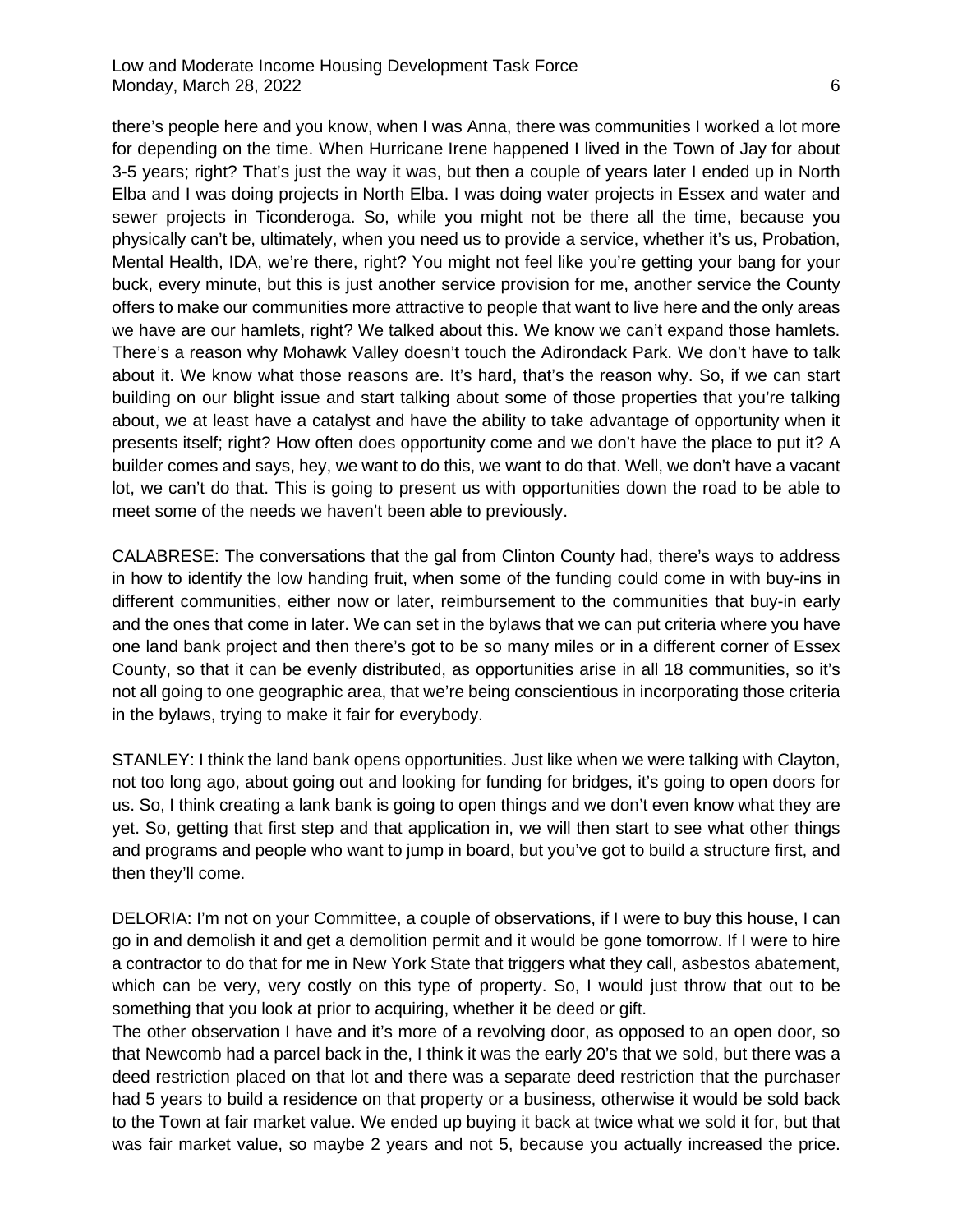there's people here and you know, when I was Anna, there was communities I worked a lot more for depending on the time. When Hurricane Irene happened I lived in the Town of Jay for about 3-5 years; right? That's just the way it was, but then a couple of years later I ended up in North Elba and I was doing projects in North Elba. I was doing water projects in Essex and water and sewer projects in Ticonderoga. So, while you might not be there all the time, because you physically can't be, ultimately, when you need us to provide a service, whether it's us, Probation, Mental Health, IDA, we're there, right? You might not feel like you're getting your bang for your buck, every minute, but this is just another service provision for me, another service the County offers to make our communities more attractive to people that want to live here and the only areas we have are our hamlets, right? We talked about this. We know we can't expand those hamlets. There's a reason why Mohawk Valley doesn't touch the Adirondack Park. We don't have to talk about it. We know what those reasons are. It's hard, that's the reason why. So, if we can start building on our blight issue and start talking about some of those properties that you're talking about, we at least have a catalyst and have the ability to take advantage of opportunity when it presents itself; right? How often does opportunity come and we don't have the place to put it? A builder comes and says, hey, we want to do this, we want to do that. Well, we don't have a vacant lot, we can't do that. This is going to present us with opportunities down the road to be able to meet some of the needs we haven't been able to previously.

CALABRESE: The conversations that the gal from Clinton County had, there's ways to address in how to identify the low handing fruit, when some of the funding could come in with buy-ins in different communities, either now or later, reimbursement to the communities that buy-in early and the ones that come in later. We can set in the bylaws that we can put criteria where you have one land bank project and then there's got to be so many miles or in a different corner of Essex County, so that it can be evenly distributed, as opportunities arise in all 18 communities, so it's not all going to one geographic area, that we're being conscientious in incorporating those criteria in the bylaws, trying to make it fair for everybody.

STANLEY: I think the land bank opens opportunities. Just like when we were talking with Clayton, not too long ago, about going out and looking for funding for bridges, it's going to open doors for us. So, I think creating a lank bank is going to open things and we don't even know what they are yet. So, getting that first step and that application in, we will then start to see what other things and programs and people who want to jump in board, but you've got to build a structure first, and then they'll come.

DELORIA: I'm not on your Committee, a couple of observations, if I were to buy this house, I can go in and demolish it and get a demolition permit and it would be gone tomorrow. If I were to hire a contractor to do that for me in New York State that triggers what they call, asbestos abatement, which can be very, very costly on this type of property. So, I would just throw that out to be something that you look at prior to acquiring, whether it be deed or gift.

The other observation I have and it's more of a revolving door, as opposed to an open door, so that Newcomb had a parcel back in the, I think it was the early 20's that we sold, but there was a deed restriction placed on that lot and there was a separate deed restriction that the purchaser had 5 years to build a residence on that property or a business, otherwise it would be sold back to the Town at fair market value. We ended up buying it back at twice what we sold it for, but that was fair market value, so maybe 2 years and not 5, because you actually increased the price.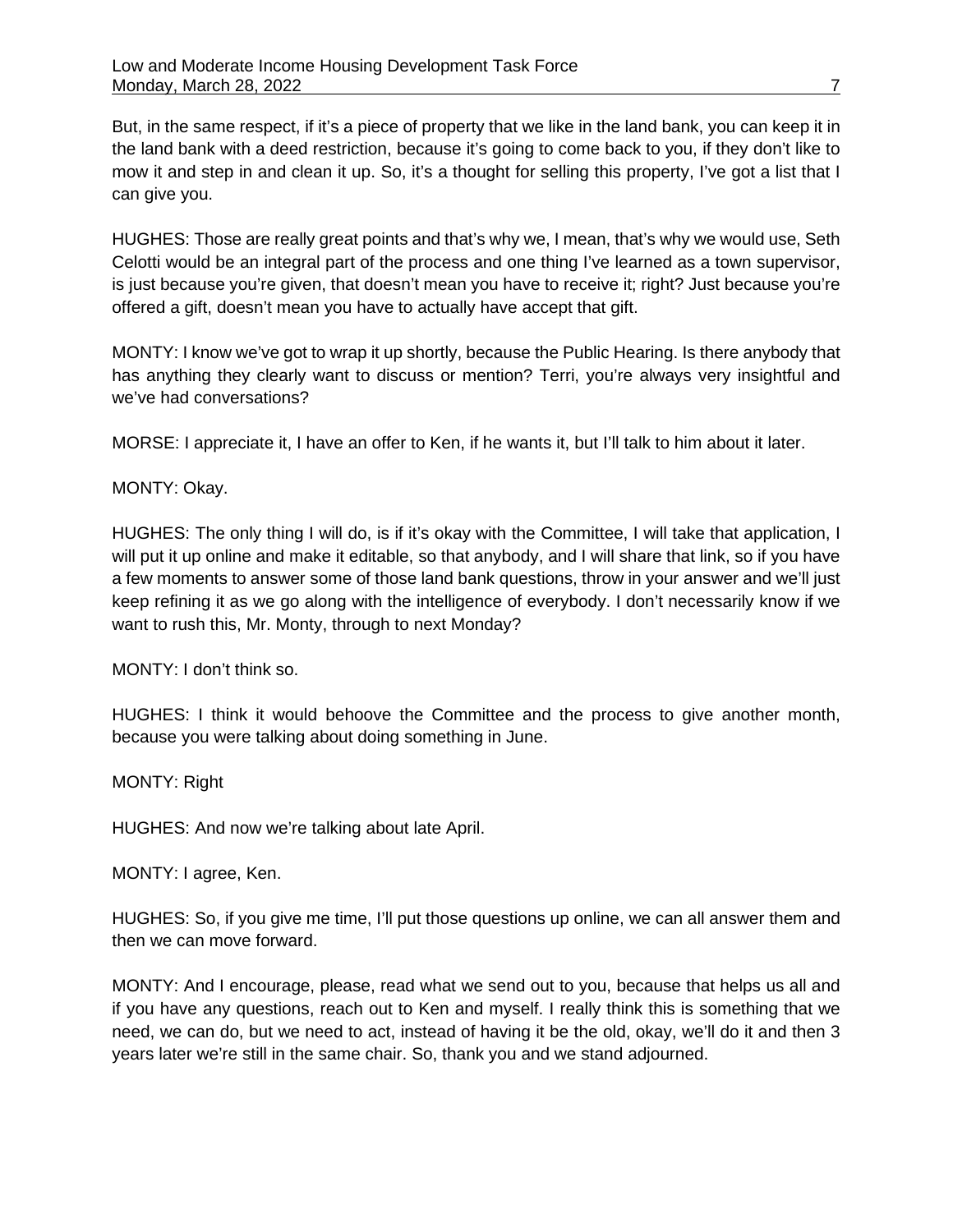But, in the same respect, if it's a piece of property that we like in the land bank, you can keep it in the land bank with a deed restriction, because it's going to come back to you, if they don't like to mow it and step in and clean it up. So, it's a thought for selling this property, I've got a list that I can give you.

HUGHES: Those are really great points and that's why we, I mean, that's why we would use, Seth Celotti would be an integral part of the process and one thing I've learned as a town supervisor, is just because you're given, that doesn't mean you have to receive it; right? Just because you're offered a gift, doesn't mean you have to actually have accept that gift.

MONTY: I know we've got to wrap it up shortly, because the Public Hearing. Is there anybody that has anything they clearly want to discuss or mention? Terri, you're always very insightful and we've had conversations?

MORSE: I appreciate it, I have an offer to Ken, if he wants it, but I'll talk to him about it later.

## MONTY: Okay.

HUGHES: The only thing I will do, is if it's okay with the Committee, I will take that application, I will put it up online and make it editable, so that anybody, and I will share that link, so if you have a few moments to answer some of those land bank questions, throw in your answer and we'll just keep refining it as we go along with the intelligence of everybody. I don't necessarily know if we want to rush this, Mr. Monty, through to next Monday?

MONTY: I don't think so.

HUGHES: I think it would behoove the Committee and the process to give another month, because you were talking about doing something in June.

MONTY: Right

HUGHES: And now we're talking about late April.

MONTY: I agree, Ken.

HUGHES: So, if you give me time, I'll put those questions up online, we can all answer them and then we can move forward.

MONTY: And I encourage, please, read what we send out to you, because that helps us all and if you have any questions, reach out to Ken and myself. I really think this is something that we need, we can do, but we need to act, instead of having it be the old, okay, we'll do it and then 3 years later we're still in the same chair. So, thank you and we stand adjourned.